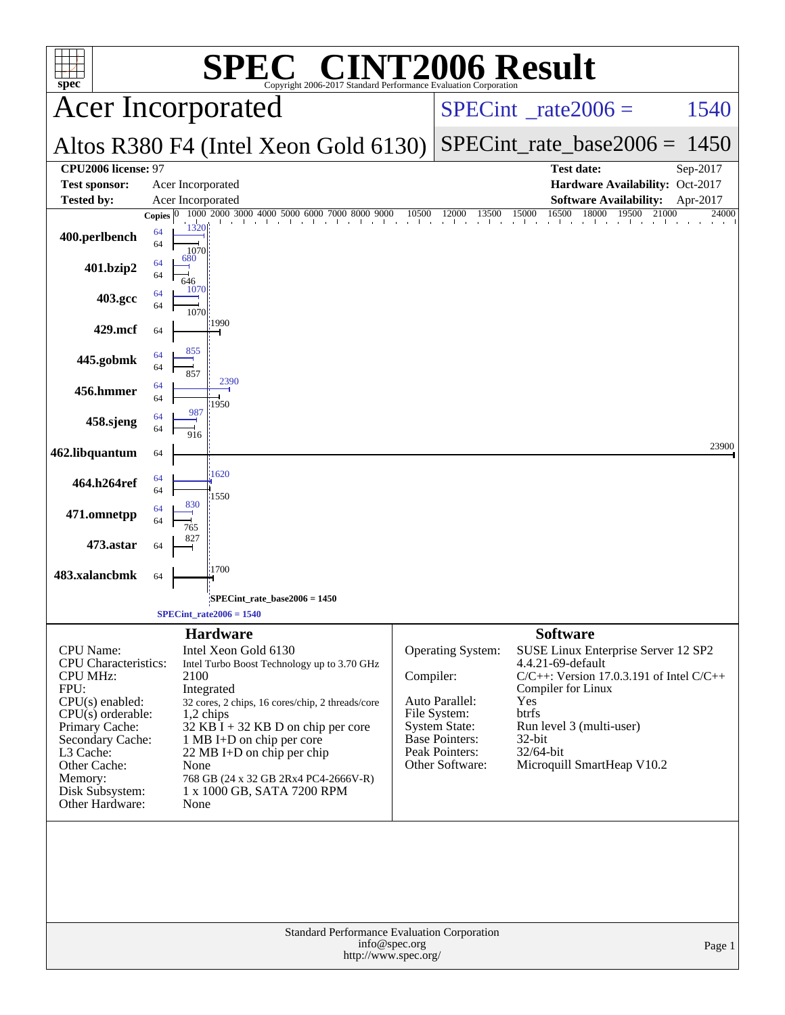| spec <sup>®</sup>                                                                                                                                                                                                                          | C® CINT2006 Result<br>SPI<br>Copyright 2006-2017 Standard Performance Evaluation Corporation                                                                                                                                                                                                                                                                           |                                                                                                                                                        |                                                                                                                                                                                                                                                        |  |  |  |  |
|--------------------------------------------------------------------------------------------------------------------------------------------------------------------------------------------------------------------------------------------|------------------------------------------------------------------------------------------------------------------------------------------------------------------------------------------------------------------------------------------------------------------------------------------------------------------------------------------------------------------------|--------------------------------------------------------------------------------------------------------------------------------------------------------|--------------------------------------------------------------------------------------------------------------------------------------------------------------------------------------------------------------------------------------------------------|--|--|--|--|
|                                                                                                                                                                                                                                            | <b>Acer Incorporated</b>                                                                                                                                                                                                                                                                                                                                               |                                                                                                                                                        | $SPECint^{\circ}$ rate $2006 =$<br>1540                                                                                                                                                                                                                |  |  |  |  |
|                                                                                                                                                                                                                                            | Altos R380 F4 (Intel Xeon Gold 6130)                                                                                                                                                                                                                                                                                                                                   |                                                                                                                                                        | $SPECint_rate\_base2006 =$<br>1450                                                                                                                                                                                                                     |  |  |  |  |
| CPU2006 license: 97<br><b>Test sponsor:</b><br><b>Tested by:</b>                                                                                                                                                                           | Acer Incorporated<br>Acer Incorporated                                                                                                                                                                                                                                                                                                                                 |                                                                                                                                                        | <b>Test date:</b><br>Sep-2017<br>Hardware Availability: Oct-2017<br><b>Software Availability:</b><br>Apr-2017                                                                                                                                          |  |  |  |  |
| 400.perlbench                                                                                                                                                                                                                              | 1000 2000 3000 4000 5000<br>6000<br>8000<br>9000<br>Copies $ 0$<br>7000<br>1320<br>64<br>64                                                                                                                                                                                                                                                                            | 12000<br>10500                                                                                                                                         | 16500<br>18000<br>21000<br>15000<br>19500<br>24000<br>13500                                                                                                                                                                                            |  |  |  |  |
| 401.bzip2                                                                                                                                                                                                                                  | 1070<br>680<br>64<br>64<br>646<br>1070                                                                                                                                                                                                                                                                                                                                 |                                                                                                                                                        |                                                                                                                                                                                                                                                        |  |  |  |  |
| 403.gcc<br>429.mcf                                                                                                                                                                                                                         | 64<br>64<br>1070<br>:1990                                                                                                                                                                                                                                                                                                                                              |                                                                                                                                                        |                                                                                                                                                                                                                                                        |  |  |  |  |
| 445.gobmk                                                                                                                                                                                                                                  | 64<br>855<br>64<br>64                                                                                                                                                                                                                                                                                                                                                  |                                                                                                                                                        |                                                                                                                                                                                                                                                        |  |  |  |  |
| 456.hmmer                                                                                                                                                                                                                                  | 857<br>2390<br>64<br>64<br>1950                                                                                                                                                                                                                                                                                                                                        |                                                                                                                                                        |                                                                                                                                                                                                                                                        |  |  |  |  |
| 458.sjeng                                                                                                                                                                                                                                  | 987<br>64<br>64<br>916                                                                                                                                                                                                                                                                                                                                                 |                                                                                                                                                        | 23900                                                                                                                                                                                                                                                  |  |  |  |  |
| 462.libquantum<br>464.h264ref                                                                                                                                                                                                              | 64<br>1620<br>64<br>64                                                                                                                                                                                                                                                                                                                                                 |                                                                                                                                                        |                                                                                                                                                                                                                                                        |  |  |  |  |
| 471.omnetpp                                                                                                                                                                                                                                | 1550<br>830<br>64<br>64<br>765                                                                                                                                                                                                                                                                                                                                         |                                                                                                                                                        |                                                                                                                                                                                                                                                        |  |  |  |  |
| 473.astar                                                                                                                                                                                                                                  | 64<br>1700                                                                                                                                                                                                                                                                                                                                                             |                                                                                                                                                        |                                                                                                                                                                                                                                                        |  |  |  |  |
| 483.xalancbmk                                                                                                                                                                                                                              | 64<br>SPECint rate base $2006 = 1450$<br>$SPECint\_rate2006 = 1540$                                                                                                                                                                                                                                                                                                    |                                                                                                                                                        |                                                                                                                                                                                                                                                        |  |  |  |  |
| <b>CPU</b> Name:<br><b>CPU</b> Characteristics:<br><b>CPU MHz:</b><br>FPU:<br>$CPU(s)$ enabled:<br>$CPU(s)$ orderable:<br>Primary Cache:<br>Secondary Cache:<br>L3 Cache:<br>Other Cache:<br>Memory:<br>Disk Subsystem:<br>Other Hardware: | <b>Hardware</b><br>Intel Xeon Gold 6130<br>Intel Turbo Boost Technology up to 3.70 GHz<br>2100<br>Integrated<br>32 cores, 2 chips, 16 cores/chip, 2 threads/core<br>1,2 chips<br>$32$ KB I + 32 KB D on chip per core<br>1 MB I+D on chip per core<br>22 MB I+D on chip per chip<br>None<br>768 GB (24 x 32 GB 2Rx4 PC4-2666V-R)<br>1 x 1000 GB, SATA 7200 RPM<br>None | Operating System:<br>Compiler:<br>Auto Parallel:<br>File System:<br><b>System State:</b><br><b>Base Pointers:</b><br>Peak Pointers:<br>Other Software: | <b>Software</b><br>SUSE Linux Enterprise Server 12 SP2<br>4.4.21-69-default<br>$C/C++$ : Version 17.0.3.191 of Intel $C/C++$<br>Compiler for Linux<br>Yes<br>btrfs<br>Run level 3 (multi-user)<br>$32$ -bit<br>32/64-bit<br>Microquill SmartHeap V10.2 |  |  |  |  |
|                                                                                                                                                                                                                                            | Standard Performance Evaluation Corporation<br>info@spec.org<br>http://www.spec.org/                                                                                                                                                                                                                                                                                   |                                                                                                                                                        | Page 1                                                                                                                                                                                                                                                 |  |  |  |  |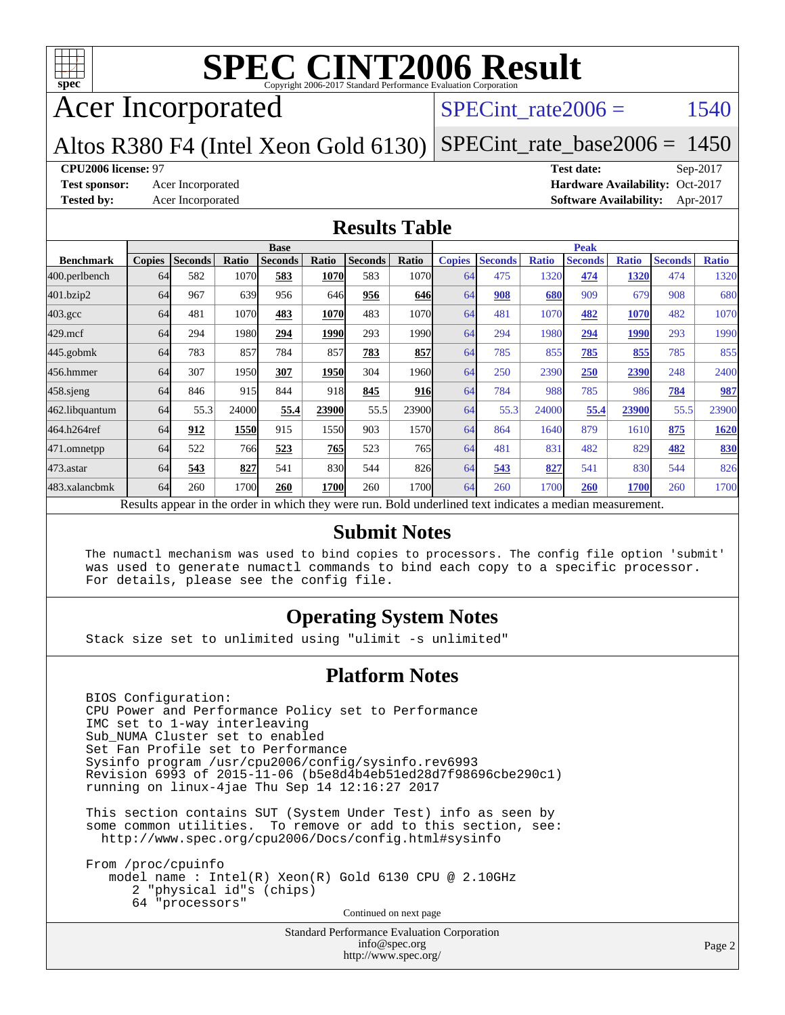

# Acer Incorporated

### SPECint rate $2006 =$  1540

#### Altos R380 F4 (Intel Xeon Gold 6130) [SPECint\\_rate\\_base2006 =](http://www.spec.org/auto/cpu2006/Docs/result-fields.html#SPECintratebase2006) 1450

#### **[CPU2006 license:](http://www.spec.org/auto/cpu2006/Docs/result-fields.html#CPU2006license)** 97 **[Test date:](http://www.spec.org/auto/cpu2006/Docs/result-fields.html#Testdate)** Sep-2017

**[Test sponsor:](http://www.spec.org/auto/cpu2006/Docs/result-fields.html#Testsponsor)** Acer Incorporated **Acceleration Availability:** Oct-2017 **[Tested by:](http://www.spec.org/auto/cpu2006/Docs/result-fields.html#Testedby)** Acer Incorporated **[Software Availability:](http://www.spec.org/auto/cpu2006/Docs/result-fields.html#SoftwareAvailability)** Apr-2017

#### **[Results Table](http://www.spec.org/auto/cpu2006/Docs/result-fields.html#ResultsTable)**

|                  | <b>Base</b>                                                                                              |                |       |                |       |                | <b>Peak</b>       |               |                |              |                |              |                |              |
|------------------|----------------------------------------------------------------------------------------------------------|----------------|-------|----------------|-------|----------------|-------------------|---------------|----------------|--------------|----------------|--------------|----------------|--------------|
| <b>Benchmark</b> | <b>Copies</b>                                                                                            | <b>Seconds</b> | Ratio | <b>Seconds</b> | Ratio | <b>Seconds</b> | Ratio             | <b>Copies</b> | <b>Seconds</b> | <b>Ratio</b> | <b>Seconds</b> | <b>Ratio</b> | <b>Seconds</b> | <b>Ratio</b> |
| 400.perlbench    | 64                                                                                                       | 582            | 1070  | 583            | 1070  | 583            | 1070 <b>1</b>     | 64            | 475            | 1320         | 474            | 1320         | 474            | 1320         |
| 401.bzip2        | 64                                                                                                       | 967            | 639   | 956            | 646   | 956            | 646               | 64            | 908            | 680          | 909            | 679          | 908            | 680          |
| $403.\text{gcc}$ | 64                                                                                                       | 481            | 1070  | 483            | 1070  | 483            | 1070 <sub>l</sub> | 64            | 481            | 1070         | 482            | 1070         | 482            | 1070         |
| $429$ .mcf       | 64                                                                                                       | 294            | 1980  | 294            | 1990  | 293            | 1990 <sub>l</sub> | 64            | 294            | 1980         | 294            | 1990         | 293            | 1990         |
| $445$ .gobmk     | 64                                                                                                       | 783            | 857   | 784            | 857   | 783            | 857               | 64            | 785            | 855          | 785            | 855          | 785            | 855          |
| 456.hmmer        | 64                                                                                                       | 307            | 1950  | 307            | 1950  | 304            | 1960 <sub>l</sub> | 64            | 250            | 2390         | 250            | 2390         | 248            | 2400         |
| $458$ .sjeng     | 64                                                                                                       | 846            | 915   | 844            | 918   | 845            | <b>916</b>        | 64            | 784            | 988          | 785            | 986          | 784            | 987          |
| 462.libquantum   | 64                                                                                                       | 55.3           | 24000 | 55.4           | 23900 | 55.5           | 23900             | 64            | 55.3           | 24000        | 55.4           | 23900        | 55.5           | 23900        |
| 464.h264ref      | 64                                                                                                       | 912            | 1550  | 915            | 1550  | 903            | 1570              | 64            | 864            | 1640         | 879            | 1610         | 875            | 1620         |
| 471.omnetpp      | 64                                                                                                       | 522            | 766   | 523            | 765   | 523            | 765 <sub>l</sub>  | 64            | 481            | 831          | 482            | 829          | 482            | 830          |
| $473$ . astar    | 64                                                                                                       | 543            | 827   | 541            | 830   | 544            | 826               | 64            | 543            | 827          | 541            | 830          | 544            | 826          |
| 483.xalancbmk    | 64                                                                                                       | 260            | 1700  | 260            | 1700  | 260            | 1700 <sub>l</sub> | 64            | 260            | 1700         | 260            | 1700         | 260            | 1700         |
|                  | Results appear in the order in which they were run. Bold underlined text indicates a median measurement. |                |       |                |       |                |                   |               |                |              |                |              |                |              |

#### **[Submit Notes](http://www.spec.org/auto/cpu2006/Docs/result-fields.html#SubmitNotes)**

 The numactl mechanism was used to bind copies to processors. The config file option 'submit' was used to generate numactl commands to bind each copy to a specific processor. For details, please see the config file.

#### **[Operating System Notes](http://www.spec.org/auto/cpu2006/Docs/result-fields.html#OperatingSystemNotes)**

Stack size set to unlimited using "ulimit -s unlimited"

#### **[Platform Notes](http://www.spec.org/auto/cpu2006/Docs/result-fields.html#PlatformNotes)**

 BIOS Configuration: CPU Power and Performance Policy set to Performance IMC set to 1-way interleaving Sub\_NUMA Cluster set to enabled Set Fan Profile set to Performance Sysinfo program /usr/cpu2006/config/sysinfo.rev6993 Revision 6993 of 2015-11-06 (b5e8d4b4eb51ed28d7f98696cbe290c1) running on linux-4jae Thu Sep 14 12:16:27 2017

 This section contains SUT (System Under Test) info as seen by some common utilities. To remove or add to this section, see: <http://www.spec.org/cpu2006/Docs/config.html#sysinfo>

 From /proc/cpuinfo model name : Intel(R) Xeon(R) Gold 6130 CPU @ 2.10GHz 2 "physical id"s (chips) 64 "processors" Continued on next page

> Standard Performance Evaluation Corporation [info@spec.org](mailto:info@spec.org) <http://www.spec.org/>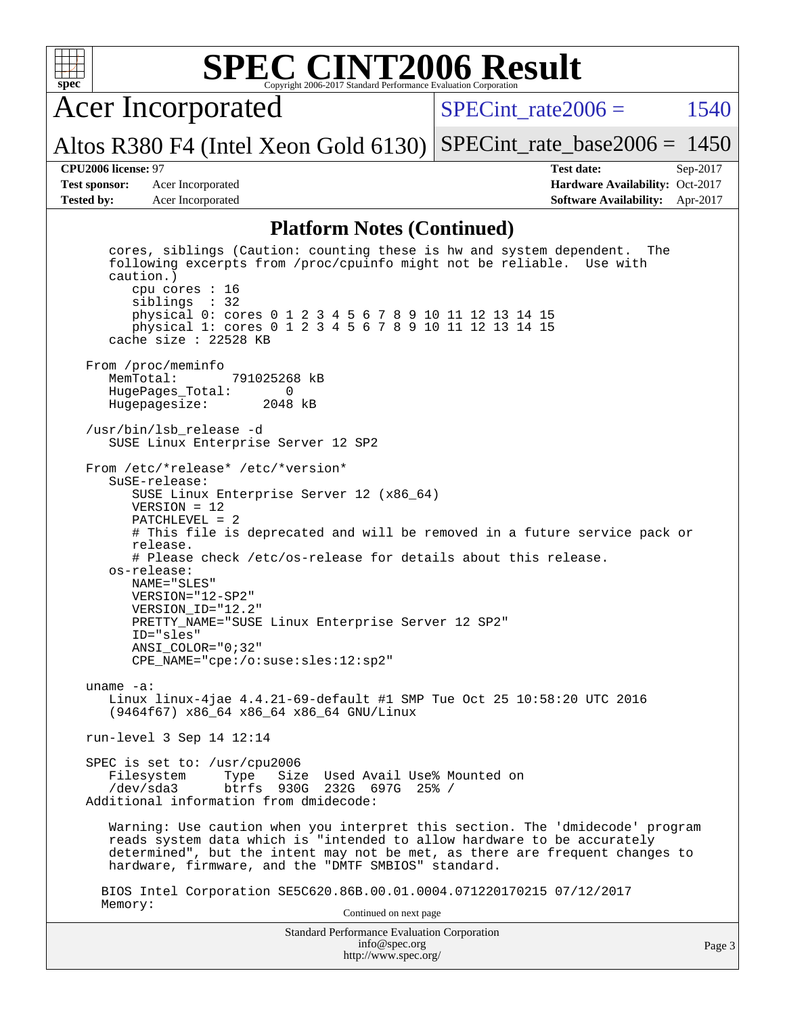

Acer Incorporated

SPECint rate $2006 = 1540$ 

Altos R380 F4 (Intel Xeon Gold 6130) [SPECint\\_rate\\_base2006 =](http://www.spec.org/auto/cpu2006/Docs/result-fields.html#SPECintratebase2006) 1450

**[Test sponsor:](http://www.spec.org/auto/cpu2006/Docs/result-fields.html#Testsponsor)** Acer Incorporated **Acceleration Availability:** Oct-2017 **[Tested by:](http://www.spec.org/auto/cpu2006/Docs/result-fields.html#Testedby)** Acer Incorporated **[Software Availability:](http://www.spec.org/auto/cpu2006/Docs/result-fields.html#SoftwareAvailability)** Apr-2017

**[CPU2006 license:](http://www.spec.org/auto/cpu2006/Docs/result-fields.html#CPU2006license)** 97 **[Test date:](http://www.spec.org/auto/cpu2006/Docs/result-fields.html#Testdate)** Sep-2017

#### **[Platform Notes \(Continued\)](http://www.spec.org/auto/cpu2006/Docs/result-fields.html#PlatformNotes)**

Standard Performance Evaluation Corporation [info@spec.org](mailto:info@spec.org) <http://www.spec.org/> cores, siblings (Caution: counting these is hw and system dependent. The following excerpts from /proc/cpuinfo might not be reliable. Use with caution.) cpu cores : 16 siblings : 32 physical 0: cores 0 1 2 3 4 5 6 7 8 9 10 11 12 13 14 15 physical 1: cores 0 1 2 3 4 5 6 7 8 9 10 11 12 13 14 15 cache size : 22528 KB From /proc/meminfo<br>MemTotal: 791025268 kB HugePages\_Total: 0 Hugepagesize: 2048 kB /usr/bin/lsb\_release -d SUSE Linux Enterprise Server 12 SP2 From /etc/\*release\* /etc/\*version\* SuSE-release: SUSE Linux Enterprise Server 12 (x86\_64) VERSION = 12 PATCHLEVEL = 2 # This file is deprecated and will be removed in a future service pack or release. # Please check /etc/os-release for details about this release. os-release: NAME="SLES" VERSION="12-SP2" VERSION\_ID="12.2" PRETTY\_NAME="SUSE Linux Enterprise Server 12 SP2" ID="sles" ANSI\_COLOR="0;32" CPE\_NAME="cpe:/o:suse:sles:12:sp2" uname -a: Linux linux-4jae 4.4.21-69-default #1 SMP Tue Oct 25 10:58:20 UTC 2016 (9464f67) x86\_64 x86\_64 x86\_64 GNU/Linux run-level 3 Sep 14 12:14 SPEC is set to: /usr/cpu2006 Filesystem Type Size Used Avail Use% Mounted on<br>
/dev/sda3 btrfs 930G 232G 697G 25% / btrfs 930G 232G 697G 25% / Additional information from dmidecode: Warning: Use caution when you interpret this section. The 'dmidecode' program reads system data which is "intended to allow hardware to be accurately determined", but the intent may not be met, as there are frequent changes to hardware, firmware, and the "DMTF SMBIOS" standard. BIOS Intel Corporation SE5C620.86B.00.01.0004.071220170215 07/12/2017 Memory: Continued on next page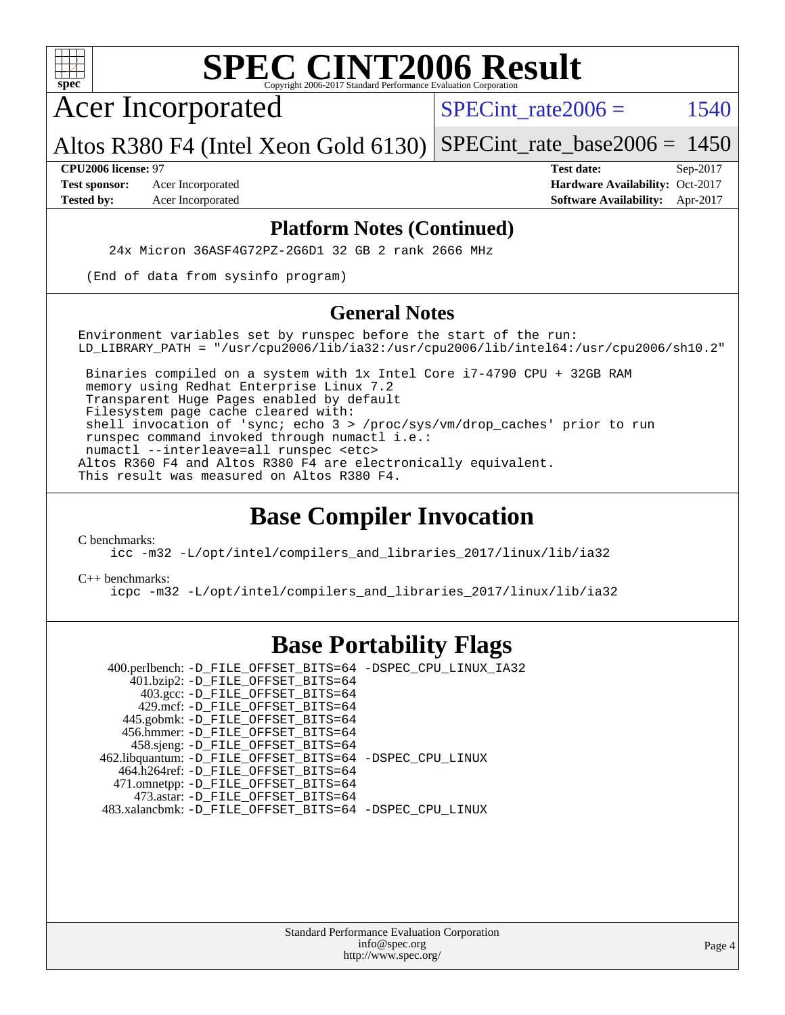

Acer Incorporated

SPECint rate $2006 =$  1540

Altos R380 F4 (Intel Xeon Gold 6130) [SPECint\\_rate\\_base2006 =](http://www.spec.org/auto/cpu2006/Docs/result-fields.html#SPECintratebase2006) 1450

**[Test sponsor:](http://www.spec.org/auto/cpu2006/Docs/result-fields.html#Testsponsor)** Acer Incorporated **Acceleration Availability:** Oct-2017

**[CPU2006 license:](http://www.spec.org/auto/cpu2006/Docs/result-fields.html#CPU2006license)** 97 **[Test date:](http://www.spec.org/auto/cpu2006/Docs/result-fields.html#Testdate)** Sep-2017 **[Tested by:](http://www.spec.org/auto/cpu2006/Docs/result-fields.html#Testedby)** Acer Incorporated **[Software Availability:](http://www.spec.org/auto/cpu2006/Docs/result-fields.html#SoftwareAvailability)** Apr-2017

#### **[Platform Notes \(Continued\)](http://www.spec.org/auto/cpu2006/Docs/result-fields.html#PlatformNotes)**

24x Micron 36ASF4G72PZ-2G6D1 32 GB 2 rank 2666 MHz

(End of data from sysinfo program)

#### **[General Notes](http://www.spec.org/auto/cpu2006/Docs/result-fields.html#GeneralNotes)**

Environment variables set by runspec before the start of the run: LD LIBRARY PATH = "/usr/cpu2006/lib/ia32:/usr/cpu2006/lib/intel64:/usr/cpu2006/sh10.2"

 Binaries compiled on a system with 1x Intel Core i7-4790 CPU + 32GB RAM memory using Redhat Enterprise Linux 7.2 Transparent Huge Pages enabled by default Filesystem page cache cleared with: shell invocation of 'sync; echo 3 > /proc/sys/vm/drop\_caches' prior to run runspec command invoked through numactl i.e.: numactl --interleave=all runspec <etc> Altos R360 F4 and Altos R380 F4 are electronically equivalent. This result was measured on Altos R380 F4.

## **[Base Compiler Invocation](http://www.spec.org/auto/cpu2006/Docs/result-fields.html#BaseCompilerInvocation)**

[C benchmarks](http://www.spec.org/auto/cpu2006/Docs/result-fields.html#Cbenchmarks):

[icc -m32 -L/opt/intel/compilers\\_and\\_libraries\\_2017/linux/lib/ia32](http://www.spec.org/cpu2006/results/res2017q4/cpu2006-20170918-49431.flags.html#user_CCbase_intel_icc_c29f3ff5a7ed067b11e4ec10a03f03ae)

[C++ benchmarks:](http://www.spec.org/auto/cpu2006/Docs/result-fields.html#CXXbenchmarks)

[icpc -m32 -L/opt/intel/compilers\\_and\\_libraries\\_2017/linux/lib/ia32](http://www.spec.org/cpu2006/results/res2017q4/cpu2006-20170918-49431.flags.html#user_CXXbase_intel_icpc_8c35c7808b62dab9ae41a1aa06361b6b)

## **[Base Portability Flags](http://www.spec.org/auto/cpu2006/Docs/result-fields.html#BasePortabilityFlags)**

 400.perlbench: [-D\\_FILE\\_OFFSET\\_BITS=64](http://www.spec.org/cpu2006/results/res2017q4/cpu2006-20170918-49431.flags.html#user_basePORTABILITY400_perlbench_file_offset_bits_64_438cf9856305ebd76870a2c6dc2689ab) [-DSPEC\\_CPU\\_LINUX\\_IA32](http://www.spec.org/cpu2006/results/res2017q4/cpu2006-20170918-49431.flags.html#b400.perlbench_baseCPORTABILITY_DSPEC_CPU_LINUX_IA32) 401.bzip2: [-D\\_FILE\\_OFFSET\\_BITS=64](http://www.spec.org/cpu2006/results/res2017q4/cpu2006-20170918-49431.flags.html#user_basePORTABILITY401_bzip2_file_offset_bits_64_438cf9856305ebd76870a2c6dc2689ab) 403.gcc: [-D\\_FILE\\_OFFSET\\_BITS=64](http://www.spec.org/cpu2006/results/res2017q4/cpu2006-20170918-49431.flags.html#user_basePORTABILITY403_gcc_file_offset_bits_64_438cf9856305ebd76870a2c6dc2689ab) 429.mcf: [-D\\_FILE\\_OFFSET\\_BITS=64](http://www.spec.org/cpu2006/results/res2017q4/cpu2006-20170918-49431.flags.html#user_basePORTABILITY429_mcf_file_offset_bits_64_438cf9856305ebd76870a2c6dc2689ab) 445.gobmk: [-D\\_FILE\\_OFFSET\\_BITS=64](http://www.spec.org/cpu2006/results/res2017q4/cpu2006-20170918-49431.flags.html#user_basePORTABILITY445_gobmk_file_offset_bits_64_438cf9856305ebd76870a2c6dc2689ab) 456.hmmer: [-D\\_FILE\\_OFFSET\\_BITS=64](http://www.spec.org/cpu2006/results/res2017q4/cpu2006-20170918-49431.flags.html#user_basePORTABILITY456_hmmer_file_offset_bits_64_438cf9856305ebd76870a2c6dc2689ab) 458.sjeng: [-D\\_FILE\\_OFFSET\\_BITS=64](http://www.spec.org/cpu2006/results/res2017q4/cpu2006-20170918-49431.flags.html#user_basePORTABILITY458_sjeng_file_offset_bits_64_438cf9856305ebd76870a2c6dc2689ab) 462.libquantum: [-D\\_FILE\\_OFFSET\\_BITS=64](http://www.spec.org/cpu2006/results/res2017q4/cpu2006-20170918-49431.flags.html#user_basePORTABILITY462_libquantum_file_offset_bits_64_438cf9856305ebd76870a2c6dc2689ab) [-DSPEC\\_CPU\\_LINUX](http://www.spec.org/cpu2006/results/res2017q4/cpu2006-20170918-49431.flags.html#b462.libquantum_baseCPORTABILITY_DSPEC_CPU_LINUX) 464.h264ref: [-D\\_FILE\\_OFFSET\\_BITS=64](http://www.spec.org/cpu2006/results/res2017q4/cpu2006-20170918-49431.flags.html#user_basePORTABILITY464_h264ref_file_offset_bits_64_438cf9856305ebd76870a2c6dc2689ab) 471.omnetpp: [-D\\_FILE\\_OFFSET\\_BITS=64](http://www.spec.org/cpu2006/results/res2017q4/cpu2006-20170918-49431.flags.html#user_basePORTABILITY471_omnetpp_file_offset_bits_64_438cf9856305ebd76870a2c6dc2689ab) 473.astar: [-D\\_FILE\\_OFFSET\\_BITS=64](http://www.spec.org/cpu2006/results/res2017q4/cpu2006-20170918-49431.flags.html#user_basePORTABILITY473_astar_file_offset_bits_64_438cf9856305ebd76870a2c6dc2689ab) 483.xalancbmk: [-D\\_FILE\\_OFFSET\\_BITS=64](http://www.spec.org/cpu2006/results/res2017q4/cpu2006-20170918-49431.flags.html#user_basePORTABILITY483_xalancbmk_file_offset_bits_64_438cf9856305ebd76870a2c6dc2689ab) [-DSPEC\\_CPU\\_LINUX](http://www.spec.org/cpu2006/results/res2017q4/cpu2006-20170918-49431.flags.html#b483.xalancbmk_baseCXXPORTABILITY_DSPEC_CPU_LINUX)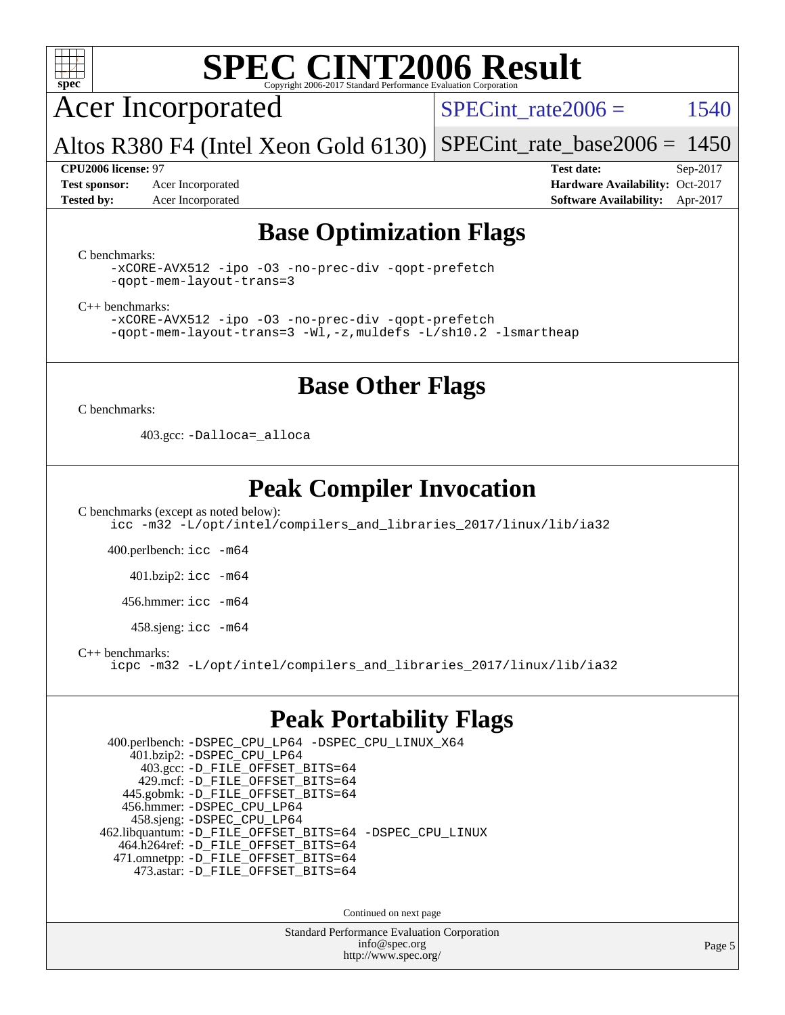

Acer Incorporated

SPECint rate $2006 = 1540$ 

Altos R380 F4 (Intel Xeon Gold 6130) [SPECint\\_rate\\_base2006 =](http://www.spec.org/auto/cpu2006/Docs/result-fields.html#SPECintratebase2006) 1450

**[Test sponsor:](http://www.spec.org/auto/cpu2006/Docs/result-fields.html#Testsponsor)** Acer Incorporated **Acceleration Availability:** Oct-2017

**[CPU2006 license:](http://www.spec.org/auto/cpu2006/Docs/result-fields.html#CPU2006license)** 97 **[Test date:](http://www.spec.org/auto/cpu2006/Docs/result-fields.html#Testdate)** Sep-2017 **[Tested by:](http://www.spec.org/auto/cpu2006/Docs/result-fields.html#Testedby)** Acer Incorporated **[Software Availability:](http://www.spec.org/auto/cpu2006/Docs/result-fields.html#SoftwareAvailability)** Apr-2017

## **[Base Optimization Flags](http://www.spec.org/auto/cpu2006/Docs/result-fields.html#BaseOptimizationFlags)**

[C benchmarks](http://www.spec.org/auto/cpu2006/Docs/result-fields.html#Cbenchmarks):

[-xCORE-AVX512](http://www.spec.org/cpu2006/results/res2017q4/cpu2006-20170918-49431.flags.html#user_CCbase_f-xCORE-AVX512) [-ipo](http://www.spec.org/cpu2006/results/res2017q4/cpu2006-20170918-49431.flags.html#user_CCbase_f-ipo) [-O3](http://www.spec.org/cpu2006/results/res2017q4/cpu2006-20170918-49431.flags.html#user_CCbase_f-O3) [-no-prec-div](http://www.spec.org/cpu2006/results/res2017q4/cpu2006-20170918-49431.flags.html#user_CCbase_f-no-prec-div) [-qopt-prefetch](http://www.spec.org/cpu2006/results/res2017q4/cpu2006-20170918-49431.flags.html#user_CCbase_f-qopt-prefetch) [-qopt-mem-layout-trans=3](http://www.spec.org/cpu2006/results/res2017q4/cpu2006-20170918-49431.flags.html#user_CCbase_f-qopt-mem-layout-trans_170f5be61cd2cedc9b54468c59262d5d)

[C++ benchmarks:](http://www.spec.org/auto/cpu2006/Docs/result-fields.html#CXXbenchmarks)

[-xCORE-AVX512](http://www.spec.org/cpu2006/results/res2017q4/cpu2006-20170918-49431.flags.html#user_CXXbase_f-xCORE-AVX512) [-ipo](http://www.spec.org/cpu2006/results/res2017q4/cpu2006-20170918-49431.flags.html#user_CXXbase_f-ipo) [-O3](http://www.spec.org/cpu2006/results/res2017q4/cpu2006-20170918-49431.flags.html#user_CXXbase_f-O3) [-no-prec-div](http://www.spec.org/cpu2006/results/res2017q4/cpu2006-20170918-49431.flags.html#user_CXXbase_f-no-prec-div) [-qopt-prefetch](http://www.spec.org/cpu2006/results/res2017q4/cpu2006-20170918-49431.flags.html#user_CXXbase_f-qopt-prefetch) [-qopt-mem-layout-trans=3](http://www.spec.org/cpu2006/results/res2017q4/cpu2006-20170918-49431.flags.html#user_CXXbase_f-qopt-mem-layout-trans_170f5be61cd2cedc9b54468c59262d5d) [-Wl,-z,muldefs](http://www.spec.org/cpu2006/results/res2017q4/cpu2006-20170918-49431.flags.html#user_CXXbase_link_force_multiple1_74079c344b956b9658436fd1b6dd3a8a) [-L/sh10.2 -lsmartheap](http://www.spec.org/cpu2006/results/res2017q4/cpu2006-20170918-49431.flags.html#user_CXXbase_SmartHeap_b831f2d313e2fffa6dfe3f00ffc1f1c0)

### **[Base Other Flags](http://www.spec.org/auto/cpu2006/Docs/result-fields.html#BaseOtherFlags)**

[C benchmarks](http://www.spec.org/auto/cpu2006/Docs/result-fields.html#Cbenchmarks):

403.gcc: [-Dalloca=\\_alloca](http://www.spec.org/cpu2006/results/res2017q4/cpu2006-20170918-49431.flags.html#b403.gcc_baseEXTRA_CFLAGS_Dalloca_be3056838c12de2578596ca5467af7f3)

## **[Peak Compiler Invocation](http://www.spec.org/auto/cpu2006/Docs/result-fields.html#PeakCompilerInvocation)**

[C benchmarks \(except as noted below\)](http://www.spec.org/auto/cpu2006/Docs/result-fields.html#Cbenchmarksexceptasnotedbelow): [icc -m32 -L/opt/intel/compilers\\_and\\_libraries\\_2017/linux/lib/ia32](http://www.spec.org/cpu2006/results/res2017q4/cpu2006-20170918-49431.flags.html#user_CCpeak_intel_icc_c29f3ff5a7ed067b11e4ec10a03f03ae)

400.perlbench: [icc -m64](http://www.spec.org/cpu2006/results/res2017q4/cpu2006-20170918-49431.flags.html#user_peakCCLD400_perlbench_intel_icc_64bit_bda6cc9af1fdbb0edc3795bac97ada53)

401.bzip2: [icc -m64](http://www.spec.org/cpu2006/results/res2017q4/cpu2006-20170918-49431.flags.html#user_peakCCLD401_bzip2_intel_icc_64bit_bda6cc9af1fdbb0edc3795bac97ada53)

456.hmmer: [icc -m64](http://www.spec.org/cpu2006/results/res2017q4/cpu2006-20170918-49431.flags.html#user_peakCCLD456_hmmer_intel_icc_64bit_bda6cc9af1fdbb0edc3795bac97ada53)

458.sjeng: [icc -m64](http://www.spec.org/cpu2006/results/res2017q4/cpu2006-20170918-49431.flags.html#user_peakCCLD458_sjeng_intel_icc_64bit_bda6cc9af1fdbb0edc3795bac97ada53)

[C++ benchmarks:](http://www.spec.org/auto/cpu2006/Docs/result-fields.html#CXXbenchmarks)

[icpc -m32 -L/opt/intel/compilers\\_and\\_libraries\\_2017/linux/lib/ia32](http://www.spec.org/cpu2006/results/res2017q4/cpu2006-20170918-49431.flags.html#user_CXXpeak_intel_icpc_8c35c7808b62dab9ae41a1aa06361b6b)

### **[Peak Portability Flags](http://www.spec.org/auto/cpu2006/Docs/result-fields.html#PeakPortabilityFlags)**

 400.perlbench: [-DSPEC\\_CPU\\_LP64](http://www.spec.org/cpu2006/results/res2017q4/cpu2006-20170918-49431.flags.html#b400.perlbench_peakCPORTABILITY_DSPEC_CPU_LP64) [-DSPEC\\_CPU\\_LINUX\\_X64](http://www.spec.org/cpu2006/results/res2017q4/cpu2006-20170918-49431.flags.html#b400.perlbench_peakCPORTABILITY_DSPEC_CPU_LINUX_X64) 401.bzip2: [-DSPEC\\_CPU\\_LP64](http://www.spec.org/cpu2006/results/res2017q4/cpu2006-20170918-49431.flags.html#suite_peakCPORTABILITY401_bzip2_DSPEC_CPU_LP64) 403.gcc: [-D\\_FILE\\_OFFSET\\_BITS=64](http://www.spec.org/cpu2006/results/res2017q4/cpu2006-20170918-49431.flags.html#user_peakPORTABILITY403_gcc_file_offset_bits_64_438cf9856305ebd76870a2c6dc2689ab) 429.mcf: [-D\\_FILE\\_OFFSET\\_BITS=64](http://www.spec.org/cpu2006/results/res2017q4/cpu2006-20170918-49431.flags.html#user_peakPORTABILITY429_mcf_file_offset_bits_64_438cf9856305ebd76870a2c6dc2689ab) 445.gobmk: [-D\\_FILE\\_OFFSET\\_BITS=64](http://www.spec.org/cpu2006/results/res2017q4/cpu2006-20170918-49431.flags.html#user_peakPORTABILITY445_gobmk_file_offset_bits_64_438cf9856305ebd76870a2c6dc2689ab) 456.hmmer: [-DSPEC\\_CPU\\_LP64](http://www.spec.org/cpu2006/results/res2017q4/cpu2006-20170918-49431.flags.html#suite_peakCPORTABILITY456_hmmer_DSPEC_CPU_LP64) 458.sjeng: [-DSPEC\\_CPU\\_LP64](http://www.spec.org/cpu2006/results/res2017q4/cpu2006-20170918-49431.flags.html#suite_peakCPORTABILITY458_sjeng_DSPEC_CPU_LP64) 462.libquantum: [-D\\_FILE\\_OFFSET\\_BITS=64](http://www.spec.org/cpu2006/results/res2017q4/cpu2006-20170918-49431.flags.html#user_peakPORTABILITY462_libquantum_file_offset_bits_64_438cf9856305ebd76870a2c6dc2689ab) [-DSPEC\\_CPU\\_LINUX](http://www.spec.org/cpu2006/results/res2017q4/cpu2006-20170918-49431.flags.html#b462.libquantum_peakCPORTABILITY_DSPEC_CPU_LINUX) 464.h264ref: [-D\\_FILE\\_OFFSET\\_BITS=64](http://www.spec.org/cpu2006/results/res2017q4/cpu2006-20170918-49431.flags.html#user_peakPORTABILITY464_h264ref_file_offset_bits_64_438cf9856305ebd76870a2c6dc2689ab) 471.omnetpp: [-D\\_FILE\\_OFFSET\\_BITS=64](http://www.spec.org/cpu2006/results/res2017q4/cpu2006-20170918-49431.flags.html#user_peakPORTABILITY471_omnetpp_file_offset_bits_64_438cf9856305ebd76870a2c6dc2689ab) 473.astar: [-D\\_FILE\\_OFFSET\\_BITS=64](http://www.spec.org/cpu2006/results/res2017q4/cpu2006-20170918-49431.flags.html#user_peakPORTABILITY473_astar_file_offset_bits_64_438cf9856305ebd76870a2c6dc2689ab)

Continued on next page

Standard Performance Evaluation Corporation [info@spec.org](mailto:info@spec.org) <http://www.spec.org/>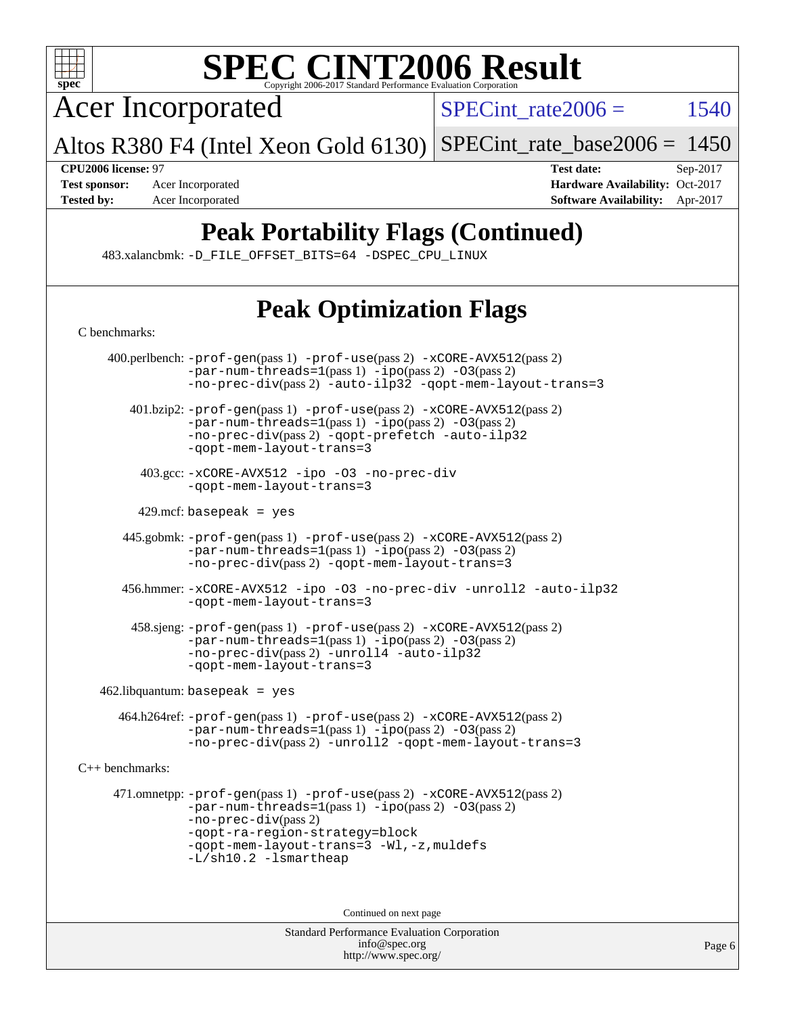

Acer Incorporated

 $SPECTnt_rate2006 = 1540$ 

Altos R380 F4 (Intel Xeon Gold 6130) [SPECint\\_rate\\_base2006 =](http://www.spec.org/auto/cpu2006/Docs/result-fields.html#SPECintratebase2006) 1450

**[CPU2006 license:](http://www.spec.org/auto/cpu2006/Docs/result-fields.html#CPU2006license)** 97 **[Test date:](http://www.spec.org/auto/cpu2006/Docs/result-fields.html#Testdate)** Sep-2017 **[Test sponsor:](http://www.spec.org/auto/cpu2006/Docs/result-fields.html#Testsponsor)** Acer Incorporated **[Hardware Availability:](http://www.spec.org/auto/cpu2006/Docs/result-fields.html#HardwareAvailability)** Oct-2017 **[Tested by:](http://www.spec.org/auto/cpu2006/Docs/result-fields.html#Testedby)** Acer Incorporated **[Software Availability:](http://www.spec.org/auto/cpu2006/Docs/result-fields.html#SoftwareAvailability)** Apr-2017

# **[Peak Portability Flags \(Continued\)](http://www.spec.org/auto/cpu2006/Docs/result-fields.html#PeakPortabilityFlags)**

483.xalancbmk: [-D\\_FILE\\_OFFSET\\_BITS=64](http://www.spec.org/cpu2006/results/res2017q4/cpu2006-20170918-49431.flags.html#user_peakPORTABILITY483_xalancbmk_file_offset_bits_64_438cf9856305ebd76870a2c6dc2689ab) [-DSPEC\\_CPU\\_LINUX](http://www.spec.org/cpu2006/results/res2017q4/cpu2006-20170918-49431.flags.html#b483.xalancbmk_peakCXXPORTABILITY_DSPEC_CPU_LINUX)

# **[Peak Optimization Flags](http://www.spec.org/auto/cpu2006/Docs/result-fields.html#PeakOptimizationFlags)**

| C benchmarks:                     |                                                                                                                                                                                                                                                                       |  |  |  |
|-----------------------------------|-----------------------------------------------------------------------------------------------------------------------------------------------------------------------------------------------------------------------------------------------------------------------|--|--|--|
|                                   | 400.perlbench: -prof-gen(pass 1) -prof-use(pass 2) -xCORE-AVX512(pass 2)<br>$-par-num-threads = 1 (pass 1) - ipo (pass 2) -03 (pass 2)$<br>$-no-prec-div(pass 2)$ -auto-ilp32 -qopt-mem-layout-trans=3                                                                |  |  |  |
|                                   | 401.bzip2: -prof-gen(pass 1) -prof-use(pass 2) -xCORE-AVX512(pass 2)<br>$-par-num-threads=1(pass 1) -ipo(pass 2) -03(pass 2)$<br>-no-prec-div(pass 2) -qopt-prefetch -auto-ilp32<br>-gopt-mem-layout-trans=3                                                          |  |  |  |
|                                   | 403.gcc: -xCORE-AVX512 -ipo -03 -no-prec-div<br>-gopt-mem-layout-trans=3                                                                                                                                                                                              |  |  |  |
|                                   | $429$ .mcf: basepeak = yes                                                                                                                                                                                                                                            |  |  |  |
|                                   | 445.gobmk: -prof-gen(pass 1) -prof-use(pass 2) -xCORE-AVX512(pass 2)<br>$-par-num-threads = 1 (pass 1) - ipo (pass 2) -03 (pass 2)$<br>-no-prec-div(pass 2) -qopt-mem-layout-trans=3                                                                                  |  |  |  |
|                                   | 456.hmmer: -xCORE-AVX512 -ipo -03 -no-prec-div -unroll2 -auto-ilp32<br>-qopt-mem-layout-trans=3                                                                                                                                                                       |  |  |  |
|                                   | 458.sjeng: -prof-gen(pass 1) -prof-use(pass 2) -xCORE-AVX512(pass 2)<br>-par-num-threads=1(pass 1) -ipo(pass 2) -03(pass 2)<br>-no-prec-div(pass 2) -unroll4 -auto-ilp32<br>-gopt-mem-layout-trans=3                                                                  |  |  |  |
| $462$ .libquantum: basepeak = yes |                                                                                                                                                                                                                                                                       |  |  |  |
|                                   | 464.h264ref: -prof-gen(pass 1) -prof-use(pass 2) -xCORE-AVX512(pass 2)<br>$-par-num-threads=1(pass 1) -ipo(pass 2) -03(pass 2)$<br>-no-prec-div(pass 2) -unroll2 -qopt-mem-layout-trans=3                                                                             |  |  |  |
| C++ benchmarks:                   |                                                                                                                                                                                                                                                                       |  |  |  |
|                                   | 471.omnetpp: -prof-gen(pass 1) -prof-use(pass 2) -xCORE-AVX512(pass 2)<br>$-par-num-threads=1(pass 1) -ipo(pass 2) -03(pass 2)$<br>$-no-prec-div(pass 2)$<br>-qopt-ra-region-strategy=block<br>-qopt-mem-layout-trans=3 -Wl,-z, muldefs<br>$-L/\nsh10.2 - lsmartheap$ |  |  |  |
| Continued on next page            |                                                                                                                                                                                                                                                                       |  |  |  |
|                                   | Standard Performance Evaluation Corporation<br>info@spec.org                                                                                                                                                                                                          |  |  |  |

<http://www.spec.org/>